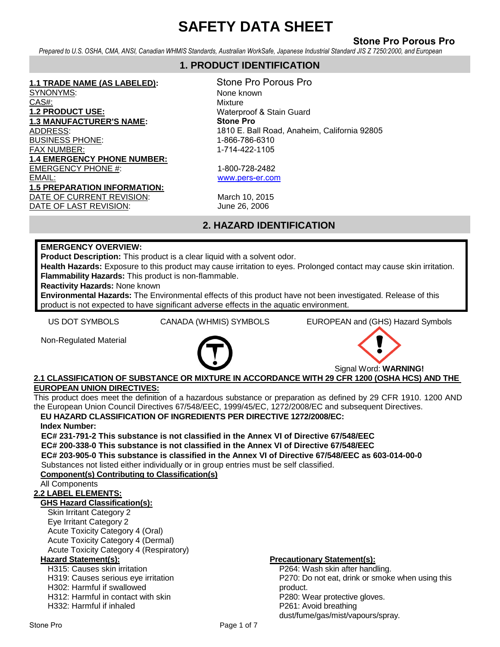# **Stone Pro Porous Pro**

*Prepared to U.S. OSHA, CMA, ANSI, Canadian WHMIS Standards, Australian WorkSafe, Japanese Industrial Standard JIS Z 7250:2000, and European* 

# *Directives* **1. PRODUCT IDENTIFICATION**

#### **1.1 TRADE NAME (AS LABELED):**

SYNONYMS: CAS#: **1.2 PRODUCT USE: 1.3 MANUFACTURER'S NAME:**  ADDRESS: BUSINESS PHONE: FAX NUMBER: **1.4 EMERGENCY PHONE NUMBER:** EMERGENCY PHONE #: EMAIL: **1.5 PREPARATION INFORMATION:** DATE OF CURRENT REVISION: March 10, 2015 DATE OF LAST REVISION: June 26, 2006

Stone Pro Porous Pro None known Mixture Waterproof & Stain Guard **Stone Pro**  1810 E. Ball Road, Anaheim, California 92805 1-866-786-6310 1-714-422-1105

1-800-728-2482 [www.pers-er.com](mailto:eric@snydermanufacturing.com)

# **2. HAZARD IDENTIFICATION**

# **EMERGENCY OVERVIEW:**

**Product Description:** This product is a clear liquid with a solvent odor.

**Health Hazards:** Exposure to this product may cause irritation to eyes. Prolonged contact may cause skin irritation. **Flammability Hazards:** This product is non-flammable.

**Reactivity Hazards:** None known

**Environmental Hazards:** The Environmental effects of this product have not been investigated. Release of this product is not expected to have significant adverse effects in the aquatic environment.

US DOT SYMBOLS CANADA (WHMIS) SYMBOLS EUROPEAN and (GHS) Hazard Symbols

Non-Regulated Material



Signal Word: **WARNING!**

# **2.1 CLASSIFICATION OF SUBSTANCE OR MIXTURE IN ACCORDANCE WITH 29 CFR 1200 (OSHA HCS) AND THE EUROPEAN UNION DIRECTIVES:**

This product does meet the definition of a hazardous substance or preparation as defined by 29 CFR 1910. 1200 AND the European Union Council Directives 67/548/EEC, 1999/45/EC, 1272/2008/EC and subsequent Directives.

# **EU HAZARD CLASSIFICATION OF INGREDIENTS PER DIRECTIVE 1272/2008/EC:**

### **Index Number:**

**EC# 231-791-2 This substance is not classified in the Annex VI of Directive 67/548/EEC EC# 200-338-0 This substance is not classified in the Annex VI of Directive 67/548/EEC**

**EC# 203-905-0 This substance is classified in the Annex VI of Directive 67/548/EEC as 603-014-00-0** Substances not listed either individually or in group entries must be self classified.

**Component(s) Contributing to Classification(s)**

#### All Components

# **2.2 LABEL ELEMENTS:**

# **GHS Hazard Classification(s):**

Skin Irritant Category 2 Eye Irritant Category 2 Acute Toxicity Category 4 (Oral) Acute Toxicity Category 4 (Dermal) Acute Toxicity Category 4 (Respiratory)

H315: Causes skin irritation

H319: Causes serious eye irritation H302: Harmful if swallowed

H312: Harmful in contact with skin

H332: Harmful if inhaled

# **Hazard Statement(s): Precautionary Statement(s):**

P264: Wash skin after handling. P270: Do not eat, drink or smoke when using this product. P280: Wear protective gloves. P261: Avoid breathing dust/fume/gas/mist/vapours/spray.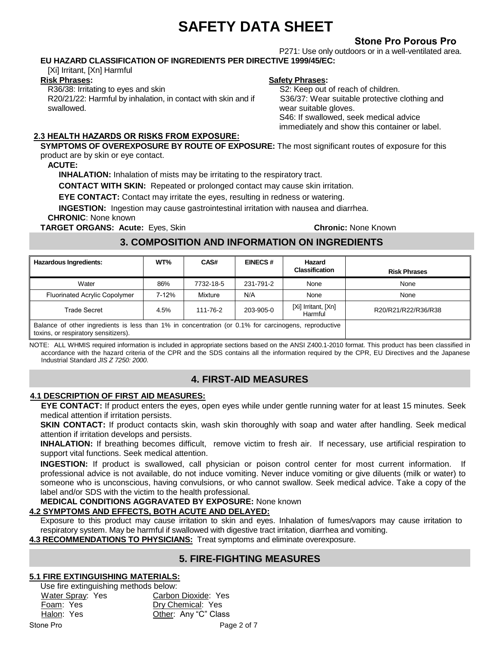# **Stone Pro Porous Pro**

P271: Use only outdoors or in a well-ventilated area. **EU HAZARD CLASSIFICATION OF INGREDIENTS PER DIRECTIVE 1999/45/EC:**

[Xi] Irritant, [Xn] Harmful

#### **Risk Phrases:**

R36/38: Irritating to eyes and skin R20/21/22: Harmful by inhalation, in contact with skin and if swallowed.

# **Safety Phrases:**

S2: Keep out of reach of children. S36/37: Wear suitable protective clothing and wear suitable gloves. S46: If swallowed, seek medical advice immediately and show this container or label.

# **2.3 HEALTH HAZARDS OR RISKS FROM EXPOSURE:**

**SYMPTOMS OF OVEREXPOSURE BY ROUTE OF EXPOSURE:** The most significant routes of exposure for this product are by skin or eye contact.

### **ACUTE:**

**INHALATION:** Inhalation of mists may be irritating to the respiratory tract.

**CONTACT WITH SKIN:** Repeated or prolonged contact may cause skin irritation.

**EYE CONTACT:** Contact may irritate the eyes, resulting in redness or watering.

**INGESTION:** Ingestion may cause gastrointestinal irritation with nausea and diarrhea.

**CHRONIC**: None known

**TARGET ORGANS: Acute:** Eyes, Skin **Chronic:** None Known

# **3. COMPOSITION AND INFORMATION ON INGREDIENTS**

| <b>Hazardous Ingredients:</b>                                                                                                                | WT%   | CAS#      | <b>EINECS#</b> | Hazard<br><b>Classification</b> | <b>Risk Phrases</b> |
|----------------------------------------------------------------------------------------------------------------------------------------------|-------|-----------|----------------|---------------------------------|---------------------|
| Water                                                                                                                                        | 86%   | 7732-18-5 | 231-791-2      | None                            | None                |
| <b>Fluorinated Acrylic Copolymer</b>                                                                                                         | 7-12% | Mixture   | N/A            | None                            | None                |
| <b>Trade Secret</b>                                                                                                                          | 4.5%  | 111-76-2  | 203-905-0      | [Xi] Irritant, [Xn]<br>Harmful  | R20/R21/R22/R36/R38 |
| Balance of other ingredients is less than 1% in concentration (or 0.1% for carcinogens, reproductive<br>toxins, or respiratory sensitizers). |       |           |                |                                 |                     |

NOTE: ALL WHMIS required information is included in appropriate sections based on the ANSI Z400.1-2010 format. This product has been classified in accordance with the hazard criteria of the CPR and the SDS contains all the information required by the CPR, EU Directives and the Japanese Industrial Standard *JIS Z 7250: 2000*.

# **4. FIRST-AID MEASURES**

# **4.1 DESCRIPTION OF FIRST AID MEASURES:**

**EYE CONTACT:** If product enters the eyes, open eyes while under gentle running water for at least 15 minutes. Seek medical attention if irritation persists.

**SKIN CONTACT:** If product contacts skin, wash skin thoroughly with soap and water after handling. Seek medical attention if irritation develops and persists.

**INHALATION:** If breathing becomes difficult, remove victim to fresh air. If necessary, use artificial respiration to support vital functions. Seek medical attention.

**INGESTION:** If product is swallowed, call physician or poison control center for most current information. If professional advice is not available, do not induce vomiting. Never induce vomiting or give diluents (milk or water) to someone who is unconscious, having convulsions, or who cannot swallow. Seek medical advice. Take a copy of the label and/or SDS with the victim to the health professional.

# **MEDICAL CONDITIONS AGGRAVATED BY EXPOSURE:** None known

# **4.2 SYMPTOMS AND EFFECTS, BOTH ACUTE AND DELAYED:**

Exposure to this product may cause irritation to skin and eyes. Inhalation of fumes/vapors may cause irritation to respiratory system. May be harmful if swallowed with digestive tract irritation, diarrhea and vomiting.

**4.3 RECOMMENDATIONS TO PHYSICIANS:** Treat symptoms and eliminate overexposure.

# **5. FIRE-FIGHTING MEASURES**

# **5.1 FIRE EXTINGUISHING MATERIALS:**

Halon: Yes Stone Pro **Pro** Page 2 of 7 Use fire extinguishing methods below: Water Spray: Yes Carbon Dioxide: Yes Foam: Yes Dry Chemical: Yes Other: Any "C" Class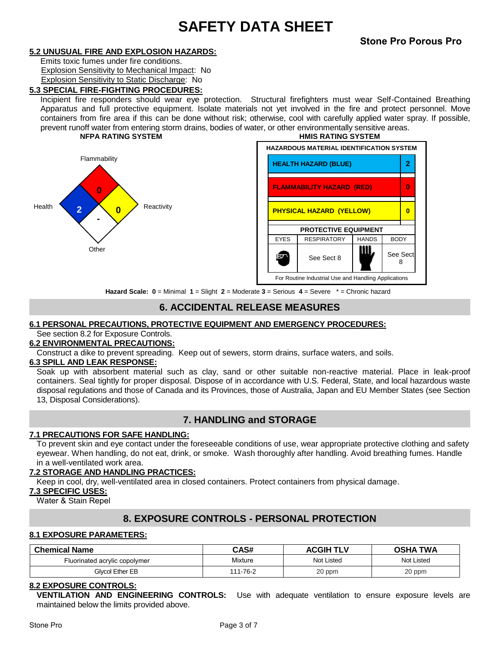### **5.2 UNUSUAL FIRE AND EXPLOSION HAZARDS:**

Emits toxic fumes under fire conditions. Explosion Sensitivity to Mechanical Impact: No Explosion Sensitivity to Static Discharge: No

### **5.3 SPECIAL FIRE-FIGHTING PROCEDURES:**

Incipient fire responders should wear eye protection. Structural firefighters must wear Self-Contained Breathing Apparatus and full protective equipment. Isolate materials not yet involved in the fire and protect personnel. Move containers from fire area if this can be done without risk; otherwise, cool with carefully applied water spray. If possible, prevent runoff water from entering storm drains, bodies of water, or other environmentally sensitive areas. **NFPA RATING SYSTEM HMIS RATING SYSTEM**





**Hazard Scale: 0** = Minimal **1** = Slight **2** = Moderate **3** = Serious **4** = Severe \* = Chronic hazard

# **6. ACCIDENTAL RELEASE MEASURES**

# **6.1 PERSONAL PRECAUTIONS, PROTECTIVE EQUIPMENT AND EMERGENCY PROCEDURES:**

# See section 8.2 for Exposure Controls.

# **6.2 ENVIRONMENTAL PRECAUTIONS:**

Construct a dike to prevent spreading.Keep out of sewers, storm drains, surface waters, and soils.

#### **6.3 SPILL AND LEAK RESPONSE:**

Soak up with absorbent material such as clay, sand or other suitable non-reactive material. Place in leak-proof containers. Seal tightly for proper disposal. Dispose of in accordance with U.S. Federal, State, and local hazardous waste disposal regulations and those of Canada and its Provinces, those of Australia, Japan and EU Member States (see Section 13, Disposal Considerations).

# **7. HANDLING and STORAGE**

#### **7.1 PRECAUTIONS FOR SAFE HANDLING:**

To prevent skin and eye contact under the foreseeable conditions of use, wear appropriate protective clothing and safety eyewear. When handling, do not eat, drink, or smoke. Wash thoroughly after handling. Avoid breathing fumes. Handle in a well-ventilated work area.

### **7.2 STORAGE AND HANDLING PRACTICES:**

Keep in cool, dry, well-ventilated area in closed containers. Protect containers from physical damage.

#### **7.3 SPECIFIC USES:**

Water & Stain Repel

# **8. EXPOSURE CONTROLS - PERSONAL PROTECTION**

### **8.1 EXPOSURE PARAMETERS:**

| <b>Chemical Name</b>          | CAS#     | <b>ACGIH</b><br><b>TLV</b> | <b>TWA</b><br>OSHA |
|-------------------------------|----------|----------------------------|--------------------|
| Fluorinated acrylic copolymer | Mixture  | Not Listed                 | Not Listed         |
| Glvcol Ether EB               | 111-76-2 | 20 ppm                     | 20 ppm             |

### **8.2 EXPOSURE CONTROLS:**

**VENTILATION AND ENGINEERING CONTROLS:** Use with adequate ventilation to ensure exposure levels are maintained below the limits provided above.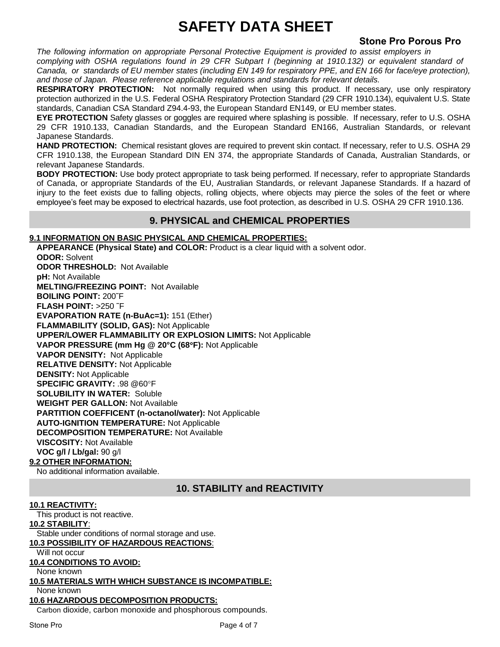# **Stone Pro Porous Pro**

*The following information on appropriate Personal Protective Equipment is provided to assist employers in*  complying with OSHA regulations found in 29 CFR Subpart I (beginning at 1910.132) or equivalent standard of *Canada, or standards of EU member states (including EN 149 for respiratory PPE, and EN 166 for face/eye protection), and those of Japan. Please reference applicable regulations and standards for relevant details.* 

**RESPIRATORY PROTECTION:** Not normally required when using this product. If necessary, use only respiratory protection authorized in the U.S. Federal OSHA Respiratory Protection Standard (29 CFR 1910.134), equivalent U.S. State standards, Canadian CSA Standard Z94.4-93, the European Standard EN149, or EU member states.

**EYE PROTECTION** Safety glasses or goggles are required where splashing is possible. If necessary, refer to U.S. OSHA 29 CFR 1910.133, Canadian Standards, and the European Standard EN166, Australian Standards, or relevant Japanese Standards.

**HAND PROTECTION:** Chemical resistant gloves are required to prevent skin contact. If necessary, refer to U.S. OSHA 29 CFR 1910.138, the European Standard DIN EN 374, the appropriate Standards of Canada, Australian Standards, or relevant Japanese Standards.

**BODY PROTECTION:** Use body protect appropriate to task being performed. If necessary, refer to appropriate Standards of Canada, or appropriate Standards of the EU, Australian Standards, or relevant Japanese Standards. If a hazard of injury to the feet exists due to falling objects, rolling objects, where objects may pierce the soles of the feet or where employee's feet may be exposed to electrical hazards, use foot protection, as described in U.S. OSHA 29 CFR 1910.136.

# **9. PHYSICAL and CHEMICAL PROPERTIES**

### **9.1 INFORMATION ON BASIC PHYSICAL AND CHEMICAL PROPERTIES:**

**APPEARANCE (Physical State) and COLOR:** Product is a clear liquid with a solvent odor. **ODOR:** Solvent **ODOR THRESHOLD:** Not Available **pH:** Not Available **MELTING/FREEZING POINT:** Not Available **BOILING POINT:** 200˜F **FLASH POINT:** >250 ˜F **EVAPORATION RATE (n-BuAc=1):** 151 (Ether) **FLAMMABILITY (SOLID, GAS):** Not Applicable **UPPER/LOWER FLAMMABILITY OR EXPLOSION LIMITS:** Not Applicable **VAPOR PRESSURE (mm Hg @ 20°C (68F):** Not Applicable **VAPOR DENSITY:** Not Applicable **RELATIVE DENSITY:** Not Applicable **DENSITY:** Not Applicable **SPECIFIC GRAVITY:** .98 @60F **SOLUBILITY IN WATER:** Soluble **WEIGHT PER GALLON:** Not Available **PARTITION COEFFICENT (n-octanol/water):** Not Applicable **AUTO-IGNITION TEMPERATURE:** Not Applicable **DECOMPOSITION TEMPERATURE:** Not Available **VISCOSITY:** Not Available **VOC g/l / Lb/gal:** 90 g/l **9.2 OTHER INFORMATION:**

No additional information available.

# **10. STABILITY and REACTIVITY**

# **10.1 REACTIVITY:**

This product is not reactive.

#### **10.2 STABILITY**:

Stable under conditions of normal storage and use.

#### **10.3 POSSIBILITY OF HAZARDOUS REACTIONS**:

Will not occur

# **10.4 CONDITIONS TO AVOID:**

None known

# **10.5 MATERIALS WITH WHICH SUBSTANCE IS INCOMPATIBLE:**

None known

# **10.6 HAZARDOUS DECOMPOSITION PRODUCTS:**

Carbon dioxide, carbon monoxide and phosphorous compounds.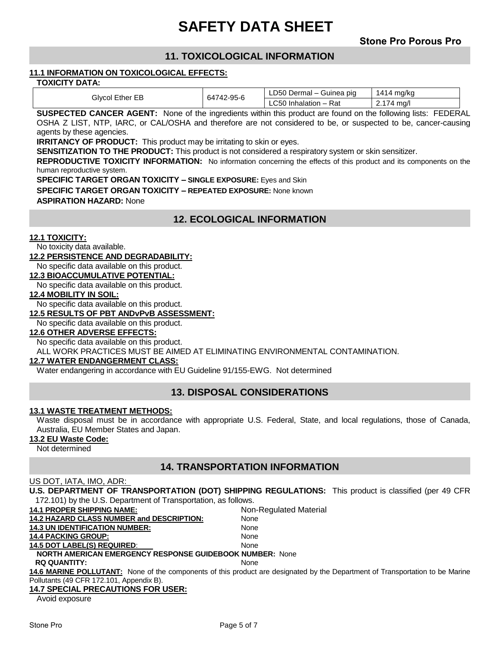# **11. TOXICOLOGICAL INFORMATION**

#### **11.1 INFORMATION ON TOXICOLOGICAL EFFECTS:**

| TOXICITY DATA: |  |
|----------------|--|
|----------------|--|

| Glycol<br><b>Ether EB</b> | 742-95-6<br>64 | LD50 Dermal $-$<br>· Guinea pig | 141<br>ma/ka<br>$\overline{A}$ |
|---------------------------|----------------|---------------------------------|--------------------------------|
|                           |                | Rat<br>Inhalation -<br>_C5U     | mg/l<br>71                     |

**SUSPECTED CANCER AGENT:** None of the ingredients within this product are found on the following lists: FEDERAL OSHA Z LIST, NTP, IARC, or CAL/OSHA and therefore are not considered to be, or suspected to be, cancer-causing agents by these agencies.

**IRRITANCY OF PRODUCT:** This product may be irritating to skin or eyes.

**SENSITIZATION TO THE PRODUCT:** This product is not considered a respiratory system or skin sensitizer.

**REPRODUCTIVE TOXICITY INFORMATION:** No information concerning the effects of this product and its components on the human reproductive system.

**SPECIFIC TARGET ORGAN TOXICITY – SINGLE EXPOSURE:** Eyes and Skin

**ASPIRATION HAZARD:** None

# **12. ECOLOGICAL INFORMATION**

#### **12.1 TOXICITY:**

No toxicity data available.

**12.2 PERSISTENCE AND DEGRADABILITY:**

No specific data available on this product.

#### **12.3 BIOACCUMULATIVE POTENTIAL:**

No specific data available on this product.

**12.4 MOBILITY IN SOIL:**

No specific data available on this product.

#### **12.5 RESULTS OF PBT ANDvPvB ASSESSMENT:**

No specific data available on this product.

# **12.6 OTHER ADVERSE EFFECTS:**

No specific data available on this product.

ALL WORK PRACTICES MUST BE AIMED AT ELIMINATING ENVIRONMENTAL CONTAMINATION.

#### **12.7 WATER ENDANGERMENT CLASS:**

Water endangering in accordance with EU Guideline 91/155-EWG. Not determined

# **13. DISPOSAL CONSIDERATIONS**

#### **13.1 WASTE TREATMENT METHODS:**

Waste disposal must be in accordance with appropriate U.S. Federal, State, and local regulations, those of Canada, Australia, EU Member States and Japan.

#### **13.2 EU Waste Code:**

Not determined

# **14. TRANSPORTATION INFORMATION**

#### US DOT, IATA, IMO, ADR:

**U.S. DEPARTMENT OF TRANSPORTATION (DOT) SHIPPING REGULATIONS:** This product is classified (per 49 CFR 172.101) by the U.S. Department of Transportation, as follows.

| <b>14.1 PROPER SHIPPING NAME:</b>                               | Non-Regulated Material                                                                                                        |
|-----------------------------------------------------------------|-------------------------------------------------------------------------------------------------------------------------------|
| <b>14.2 HAZARD CLASS NUMBER and DESCRIPTION:</b>                | None                                                                                                                          |
| <b>14.3 UN IDENTIFICATION NUMBER:</b>                           | None                                                                                                                          |
| <b>14.4 PACKING GROUP:</b>                                      | None                                                                                                                          |
| <b>14.5 DOT LABEL(S) REQUIRED:</b>                              | <b>None</b>                                                                                                                   |
| <b>NORTH AMERICAN EMERGENCY RESPONSE GUIDEBOOK NUMBER: None</b> |                                                                                                                               |
| <b>RQ QUANTITY:</b>                                             | <b>None</b>                                                                                                                   |
|                                                                 | 14.6 MARINE POLLUTANT: None of the components of this product are designated by the Department of Transportation to be Marine |
| Pollutants (49 CFR 172.101, Appendix B).                        |                                                                                                                               |
| <b>14.7 SPECIAL PRECAUTIONS FOR USER:</b>                       |                                                                                                                               |
| Avoid ovnocuro                                                  |                                                                                                                               |

Avoid exposure

**SPECIFIC TARGET ORGAN TOXICITY – REPEATED EXPOSURE:** None known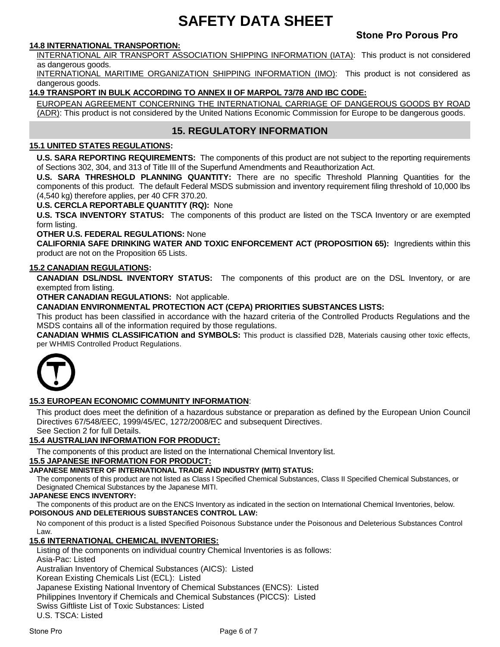# **Stone Pro Porous Pro**

### **14.8 INTERNATIONAL TRANSPORTION:**

INTERNATIONAL AIR TRANSPORT ASSOCIATION SHIPPING INFORMATION (IATA): This product is not considered as dangerous goods.

INTERNATIONAL MARITIME ORGANIZATION SHIPPING INFORMATION (IMO): This product is not considered as dangerous goods.

### **14.9 TRANSPORT IN BULK ACCORDING TO ANNEX II OF MARPOL 73/78 AND IBC CODE:**

EUROPEAN AGREEMENT CONCERNING THE INTERNATIONAL CARRIAGE OF DANGEROUS GOODS BY ROAD (ADR): This product is not considered by the United Nations Economic Commission for Europe to be dangerous goods.

# **15. REGULATORY INFORMATION**

### **15.1 UNITED STATES REGULATIONS:**

**U.S. SARA REPORTING REQUIREMENTS:** The components of this product are not subject to the reporting requirements of Sections 302, 304, and 313 of Title III of the Superfund Amendments and Reauthorization Act.

**U.S. SARA THRESHOLD PLANNING QUANTITY:** There are no specific Threshold Planning Quantities for the components of this product. The default Federal MSDS submission and inventory requirement filing threshold of 10,000 lbs (4,540 kg) therefore applies, per 40 CFR 370.20.

**U.S. CERCLA REPORTABLE QUANTITY (RQ):** None

**U.S. TSCA INVENTORY STATUS:** The components of this product are listed on the TSCA Inventory or are exempted form listing.

**OTHER U.S. FEDERAL REGULATIONS:** None

**CALIFORNIA SAFE DRINKING WATER AND TOXIC ENFORCEMENT ACT (PROPOSITION 65):** Ingredients within this product are not on the Proposition 65 Lists.

#### **15.2 CANADIAN REGULATIONS:**

**CANADIAN DSL/NDSL INVENTORY STATUS:** The components of this product are on the DSL Inventory, or are exempted from listing.

**OTHER CANADIAN REGULATIONS:** Not applicable.

**CANADIAN ENVIRONMENTAL PROTECTION ACT (CEPA) PRIORITIES SUBSTANCES LISTS:**

This product has been classified in accordance with the hazard criteria of the Controlled Products Regulations and the MSDS contains all of the information required by those regulations.

**CANADIAN WHMIS CLASSIFICATION and SYMBOLS:** This product is classified D2B, Materials causing other toxic effects, per WHMIS Controlled Product Regulations.



#### **15.3 EUROPEAN ECONOMIC COMMUNITY INFORMATION**:

This product does meet the definition of a hazardous substance or preparation as defined by the European Union Council Directives 67/548/EEC, 1999/45/EC, 1272/2008/EC and subsequent Directives. See Section 2 for full Details.

**15.4 AUSTRALIAN INFORMATION FOR PRODUCT:**

The components of this product are listed on the International Chemical Inventory list.

**15.5 JAPANESE INFORMATION FOR PRODUCT:**

#### **JAPANESE MINISTER OF INTERNATIONAL TRADE AND INDUSTRY (MITI) STATUS:**

The components of this product are not listed as Class I Specified Chemical Substances, Class II Specified Chemical Substances, or Designated Chemical Substances by the Japanese MITI.

#### **JAPANESE ENCS INVENTORY:**

The components of this product are on the ENCS Inventory as indicated in the section on International Chemical Inventories, below. **POISONOUS AND DELETERIOUS SUBSTANCES CONTROL LAW:**

No component of this product is a listed Specified Poisonous Substance under the Poisonous and Deleterious Substances Control Law.

#### **15.6 INTERNATIONAL CHEMICAL INVENTORIES:**

Listing of the components on individual country Chemical Inventories is as follows: Asia-Pac: Listed Australian Inventory of Chemical Substances (AICS): Listed Korean Existing Chemicals List (ECL): Listed Japanese Existing National Inventory of Chemical Substances (ENCS): Listed Philippines Inventory if Chemicals and Chemical Substances (PICCS): Listed Swiss Giftliste List of Toxic Substances: Listed U.S. TSCA: Listed